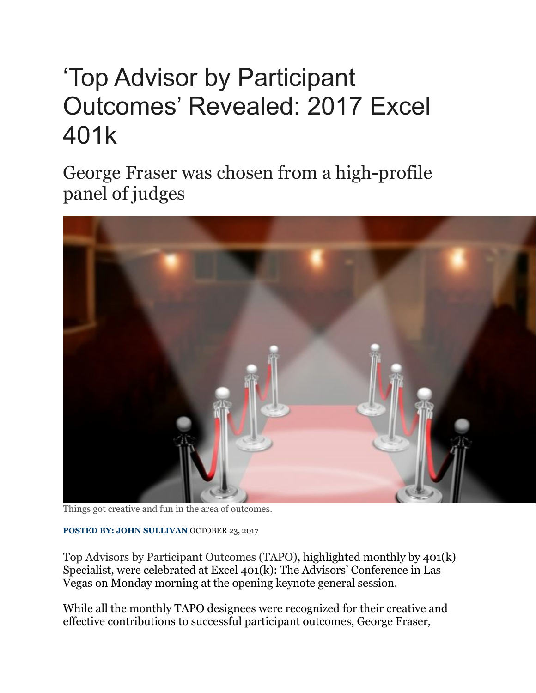## 'Top Advisor by Participant Outcomes' Revealed: 2017 Excel 401k

George Fraser was chosen from a high-profile panel of judges



Things got creative and fun in the area of outcomes.

**POSTED BY: JOHN SULLIVAN** OCTOBER 23, 2017

Top Advisors by Participant Outcomes (TAPO), highlighted monthly by 401(k) Specialist, were celebrated at Excel 401(k): The Advisors' Conference in Las Vegas on Monday morning at the opening keynote general session.

While all the monthly TAPO designees were recognized for their creative and effective contributions to successful participant outcomes, George Fraser,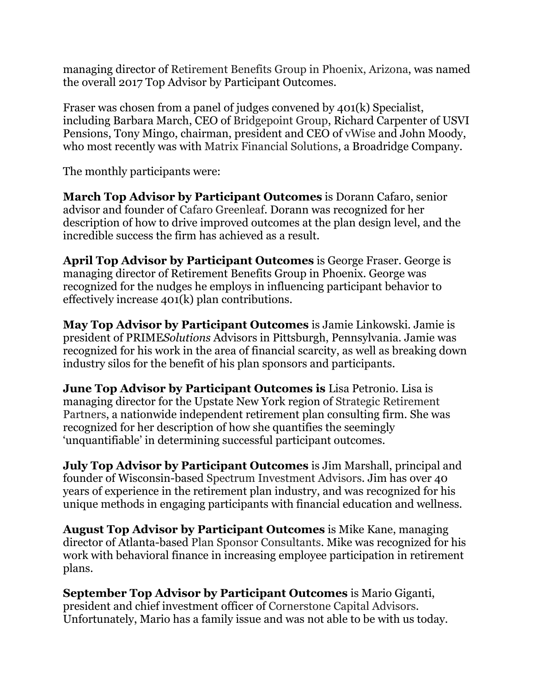managing director of Retirement Benefits Group in Phoenix, Arizona, was named the overall 2017 Top Advisor by Participant Outcomes.

Fraser was chosen from a panel of judges convened by 401(k) Specialist, including Barbara March, CEO of Bridgepoint Group, Richard Carpenter of USVI Pensions, Tony Mingo, chairman, president and CEO of vWise and John Moody, who most recently was with Matrix Financial Solutions, a Broadridge Company.

The monthly participants were:

**March Top Advisor by Participant Outcomes** is Dorann Cafaro, senior advisor and founder of Cafaro Greenleaf. Dorann was recognized for her description of how to drive improved outcomes at the plan design level, and the incredible success the firm has achieved as a result.

**April Top Advisor by Participant Outcomes** is George Fraser. George is managing director of Retirement Benefits Group in Phoenix. George was recognized for the nudges he employs in influencing participant behavior to effectively increase 401(k) plan contributions.

**May Top Advisor by Participant Outcomes** is Jamie Linkowski. Jamie is president of PRIME*Solutions* Advisors in Pittsburgh, Pennsylvania. Jamie was recognized for his work in the area of financial scarcity, as well as breaking down industry silos for the benefit of his plan sponsors and participants.

**June Top Advisor by Participant Outcomes is** Lisa Petronio. Lisa is managing director for the Upstate New York region of Strategic Retirement Partners, a nationwide independent retirement plan consulting firm. She was recognized for her description of how she quantifies the seemingly 'unquantifiable' in determining successful participant outcomes.

**July Top Advisor by Participant Outcomes** is Jim Marshall, principal and founder of Wisconsin-based Spectrum Investment Advisors. Jim has over 40 years of experience in the retirement plan industry, and was recognized for his unique methods in engaging participants with financial education and wellness.

**August Top Advisor by Participant Outcomes** is Mike Kane, managing director of Atlanta-based Plan Sponsor Consultants. Mike was recognized for his work with behavioral finance in increasing employee participation in retirement plans.

**September Top Advisor by Participant Outcomes** is Mario Giganti, president and chief investment officer of Cornerstone Capital Advisors*.* Unfortunately, Mario has a family issue and was not able to be with us today.